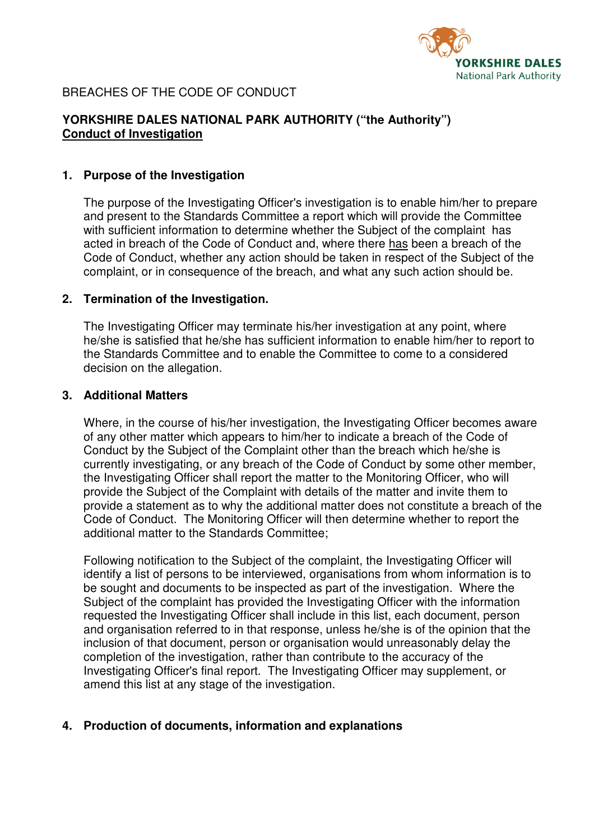

# BREACHES OF THE CODE OF CONDUCT

# **YORKSHIRE DALES NATIONAL PARK AUTHORITY ("the Authority") Conduct of Investigation**

#### **1. Purpose of the Investigation**

 The purpose of the Investigating Officer's investigation is to enable him/her to prepare and present to the Standards Committee a report which will provide the Committee with sufficient information to determine whether the Subject of the complaint has acted in breach of the Code of Conduct and, where there has been a breach of the Code of Conduct, whether any action should be taken in respect of the Subject of the complaint, or in consequence of the breach, and what any such action should be.

#### **2. Termination of the Investigation.**

 The Investigating Officer may terminate his/her investigation at any point, where he/she is satisfied that he/she has sufficient information to enable him/her to report to the Standards Committee and to enable the Committee to come to a considered decision on the allegation.

#### **3. Additional Matters**

 Where, in the course of his/her investigation, the Investigating Officer becomes aware of any other matter which appears to him/her to indicate a breach of the Code of Conduct by the Subject of the Complaint other than the breach which he/she is currently investigating, or any breach of the Code of Conduct by some other member, the Investigating Officer shall report the matter to the Monitoring Officer, who will provide the Subject of the Complaint with details of the matter and invite them to provide a statement as to why the additional matter does not constitute a breach of the Code of Conduct. The Monitoring Officer will then determine whether to report the additional matter to the Standards Committee;

 Following notification to the Subject of the complaint, the Investigating Officer will identify a list of persons to be interviewed, organisations from whom information is to be sought and documents to be inspected as part of the investigation. Where the Subject of the complaint has provided the Investigating Officer with the information requested the Investigating Officer shall include in this list, each document, person and organisation referred to in that response, unless he/she is of the opinion that the inclusion of that document, person or organisation would unreasonably delay the completion of the investigation, rather than contribute to the accuracy of the Investigating Officer's final report. The Investigating Officer may supplement, or amend this list at any stage of the investigation.

# **4. Production of documents, information and explanations**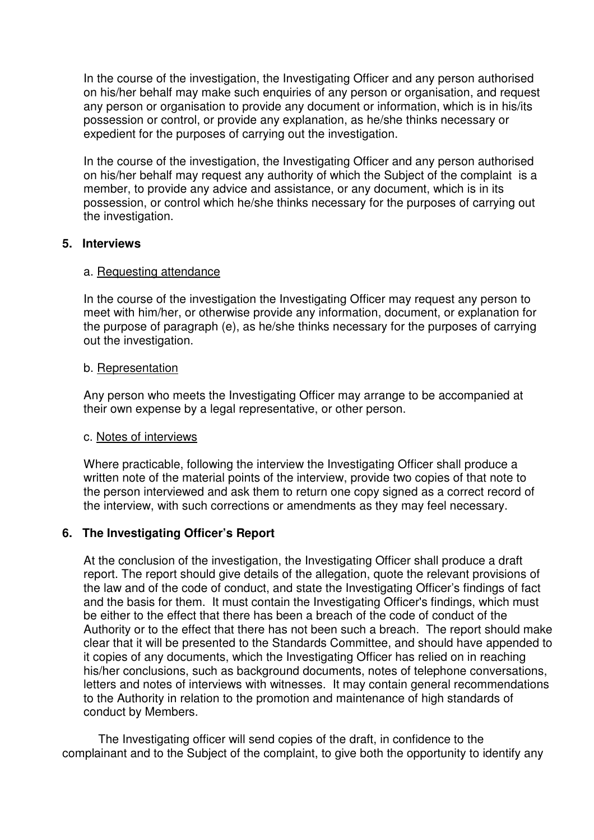In the course of the investigation, the Investigating Officer and any person authorised on his/her behalf may make such enquiries of any person or organisation, and request any person or organisation to provide any document or information, which is in his/its possession or control, or provide any explanation, as he/she thinks necessary or expedient for the purposes of carrying out the investigation.

 In the course of the investigation, the Investigating Officer and any person authorised on his/her behalf may request any authority of which the Subject of the complaint is a member, to provide any advice and assistance, or any document, which is in its possession, or control which he/she thinks necessary for the purposes of carrying out the investigation.

# **5. Interviews**

# a. Requesting attendance

In the course of the investigation the Investigating Officer may request any person to meet with him/her, or otherwise provide any information, document, or explanation for the purpose of paragraph (e), as he/she thinks necessary for the purposes of carrying out the investigation.

#### b. Representation

 Any person who meets the Investigating Officer may arrange to be accompanied at their own expense by a legal representative, or other person.

# c. Notes of interviews

 Where practicable, following the interview the Investigating Officer shall produce a written note of the material points of the interview, provide two copies of that note to the person interviewed and ask them to return one copy signed as a correct record of the interview, with such corrections or amendments as they may feel necessary.

# **6. The Investigating Officer's Report**

 At the conclusion of the investigation, the Investigating Officer shall produce a draft report. The report should give details of the allegation, quote the relevant provisions of the law and of the code of conduct, and state the Investigating Officer's findings of fact and the basis for them. It must contain the Investigating Officer's findings, which must be either to the effect that there has been a breach of the code of conduct of the Authority or to the effect that there has not been such a breach. The report should make clear that it will be presented to the Standards Committee, and should have appended to it copies of any documents, which the Investigating Officer has relied on in reaching his/her conclusions, such as background documents, notes of telephone conversations, letters and notes of interviews with witnesses. It may contain general recommendations to the Authority in relation to the promotion and maintenance of high standards of conduct by Members.

 The Investigating officer will send copies of the draft, in confidence to the complainant and to the Subject of the complaint, to give both the opportunity to identify any